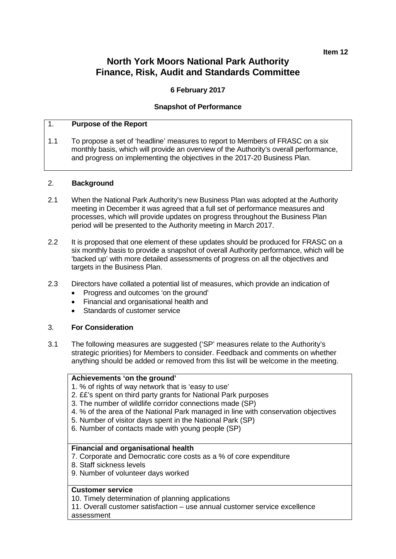**Item 12**

# **North York Moors National Park Authority Finance, Risk, Audit and Standards Committee**

## **6 February 2017**

### **Snapshot of Performance**

# 1. **Purpose of the Report**

1.1 To propose a set of 'headline' measures to report to Members of FRASC on a six monthly basis, which will provide an overview of the Authority's overall performance, and progress on implementing the objectives in the 2017-20 Business Plan.

#### 2. **Background**

- 2.1 When the National Park Authority's new Business Plan was adopted at the Authority meeting in December it was agreed that a full set of performance measures and processes, which will provide updates on progress throughout the Business Plan period will be presented to the Authority meeting in March 2017.
- 2.2 It is proposed that one element of these updates should be produced for FRASC on a six monthly basis to provide a snapshot of overall Authority performance, which will be 'backed up' with more detailed assessments of progress on all the objectives and targets in the Business Plan.
- 2.3 Directors have collated a potential list of measures, which provide an indication of
	- Progress and outcomes 'on the ground'
	- Financial and organisational health and
	- Standards of customer service

#### 3. **For Consideration**

3.1 The following measures are suggested ('SP' measures relate to the Authority's strategic priorities) for Members to consider. Feedback and comments on whether anything should be added or removed from this list will be welcome in the meeting.

#### **Achievements 'on the ground'**

- 1. % of rights of way network that is 'easy to use'
- 2. ££'s spent on third party grants for National Park purposes
- 3. The number of wildlife corridor connections made (SP)
- 4. % of the area of the National Park managed in line with conservation objectives
- 5. Number of visitor days spent in the National Park (SP)
- 6. Number of contacts made with young people (SP)

#### **Financial and organisational health**

- 7. Corporate and Democratic core costs as a % of core expenditure
- 8. Staff sickness levels
- 9. Number of volunteer days worked

### **Customer service**

- 10. Timely determination of planning applications
- 11. Overall customer satisfaction use annual customer service excellence assessment